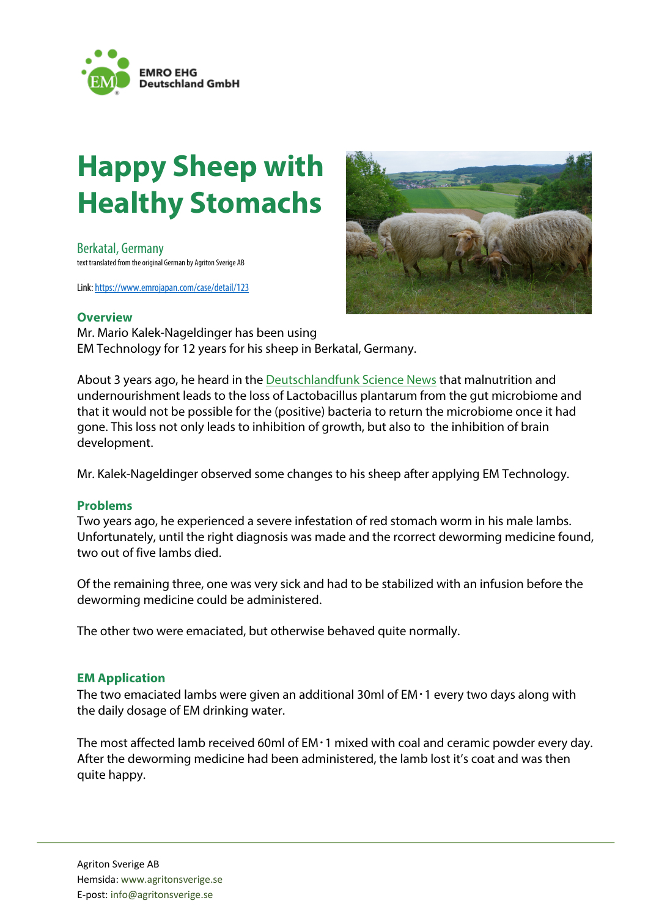

# **Happy Sheep with Healthy Stomachs**

Berkatal, Germany text translated from the original German by Agriton Sverige AB

Link: https://www.emrojapan.com/case/detail/123



### **Overview**

Mr. Mario Kalek-Nageldinger has been using EM Technology for 12 years for his sheep in Berkatal, Germany.

About 3 years ago, he heard in the Deutschlandfunk Science News that malnutrition and undernourishment leads to the loss of Lactobacillus plantarum from the gut microbiome and that it would not be possible for the (positive) bacteria to return the microbiome once it had gone. This loss not only leads to inhibition of growth, but also to the inhibition of brain development.

Mr. Kalek-Nageldinger observed some changes to his sheep after applying EM Technology.

#### **Problems**

Two years ago, he experienced a severe infestation of red stomach worm in his male lambs. Unfortunately, until the right diagnosis was made and the rcorrect deworming medicine found, two out of five lambs died.

Of the remaining three, one was very sick and had to be stabilized with an infusion before the deworming medicine could be administered.

The other two were emaciated, but otherwise behaved quite normally.

#### **EM Application**

The two emaciated lambs were given an additional 30ml of  $EM \cdot 1$  every two days along with the daily dosage of EM drinking water.

The most affected lamb received 60ml of EM・1 mixed with coal and ceramic powder every day. After the deworming medicine had been administered, the lamb lost it's coat and was then quite happy.